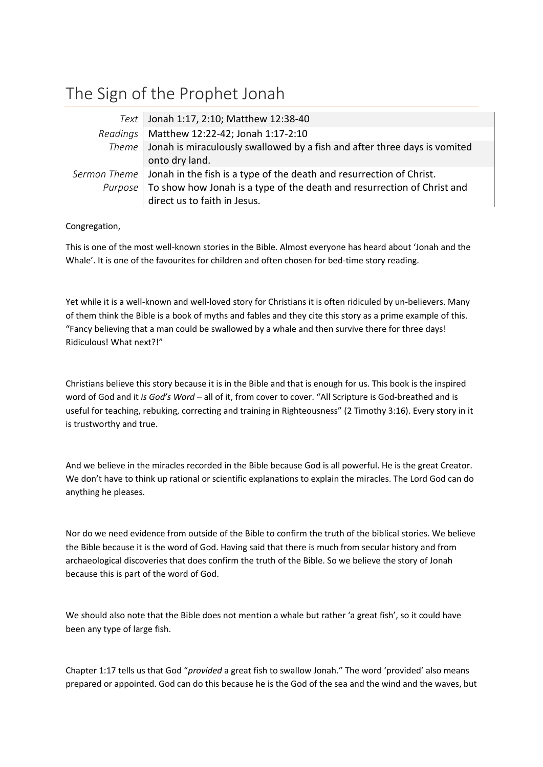## The Sign of the Prophet Jonah

| Text Jonah 1:17, 2:10; Matthew 12:38-40                                             |
|-------------------------------------------------------------------------------------|
| Readings   Matthew 12:22-42; Jonah 1:17-2:10                                        |
| Theme   Jonah is miraculously swallowed by a fish and after three days is vomited   |
| onto dry land.                                                                      |
| Sermon Theme   Jonah in the fish is a type of the death and resurrection of Christ. |
| Purpose   To show how Jonah is a type of the death and resurrection of Christ and   |
| direct us to faith in Jesus.                                                        |

## Congregation,

This is one of the most well-known stories in the Bible. Almost everyone has heard about 'Jonah and the Whale'. It is one of the favourites for children and often chosen for bed-time story reading.

Yet while it is a well-known and well-loved story for Christians it is often ridiculed by un-believers. Many of them think the Bible is a book of myths and fables and they cite this story as a prime example of this. "Fancy believing that a man could be swallowed by a whale and then survive there for three days! Ridiculous! What next?!"

Christians believe this story because it is in the Bible and that is enough for us. This book is the inspired word of God and it *is God's Word* – all of it, from cover to cover. "All Scripture is God-breathed and is useful for teaching, rebuking, correcting and training in Righteousness" (2 Timothy 3:16). Every story in it is trustworthy and true.

And we believe in the miracles recorded in the Bible because God is all powerful. He is the great Creator. We don't have to think up rational or scientific explanations to explain the miracles. The Lord God can do anything he pleases.

Nor do we need evidence from outside of the Bible to confirm the truth of the biblical stories. We believe the Bible because it is the word of God. Having said that there is much from secular history and from archaeological discoveries that does confirm the truth of the Bible. So we believe the story of Jonah because this is part of the word of God.

We should also note that the Bible does not mention a whale but rather 'a great fish', so it could have been any type of large fish.

Chapter 1:17 tells us that God "*provided* a great fish to swallow Jonah." The word 'provided' also means prepared or appointed. God can do this because he is the God of the sea and the wind and the waves, but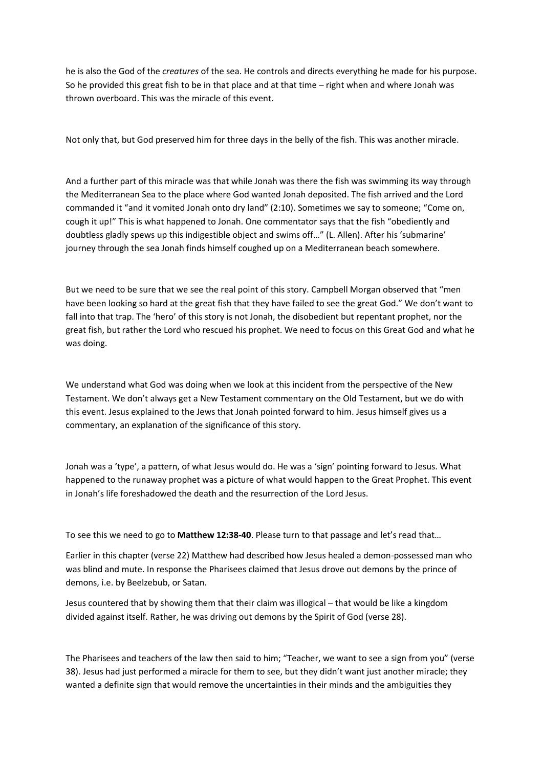he is also the God of the *creatures* of the sea. He controls and directs everything he made for his purpose. So he provided this great fish to be in that place and at that time – right when and where Jonah was thrown overboard. This was the miracle of this event.

Not only that, but God preserved him for three days in the belly of the fish. This was another miracle.

And a further part of this miracle was that while Jonah was there the fish was swimming its way through the Mediterranean Sea to the place where God wanted Jonah deposited. The fish arrived and the Lord commanded it "and it vomited Jonah onto dry land" (2:10). Sometimes we say to someone; "Come on, cough it up!" This is what happened to Jonah. One commentator says that the fish "obediently and doubtless gladly spews up this indigestible object and swims off…" (L. Allen). After his 'submarine' journey through the sea Jonah finds himself coughed up on a Mediterranean beach somewhere.

But we need to be sure that we see the real point of this story. Campbell Morgan observed that "men have been looking so hard at the great fish that they have failed to see the great God." We don't want to fall into that trap. The 'hero' of this story is not Jonah, the disobedient but repentant prophet, nor the great fish, but rather the Lord who rescued his prophet. We need to focus on this Great God and what he was doing.

We understand what God was doing when we look at this incident from the perspective of the New Testament. We don't always get a New Testament commentary on the Old Testament, but we do with this event. Jesus explained to the Jews that Jonah pointed forward to him. Jesus himself gives us a commentary, an explanation of the significance of this story.

Jonah was a 'type', a pattern, of what Jesus would do. He was a 'sign' pointing forward to Jesus. What happened to the runaway prophet was a picture of what would happen to the Great Prophet. This event in Jonah's life foreshadowed the death and the resurrection of the Lord Jesus.

To see this we need to go to **Matthew 12:38-40**. Please turn to that passage and let's read that…

Earlier in this chapter (verse 22) Matthew had described how Jesus healed a demon-possessed man who was blind and mute. In response the Pharisees claimed that Jesus drove out demons by the prince of demons, i.e. by Beelzebub, or Satan.

Jesus countered that by showing them that their claim was illogical – that would be like a kingdom divided against itself. Rather, he was driving out demons by the Spirit of God (verse 28).

The Pharisees and teachers of the law then said to him; "Teacher, we want to see a sign from you" (verse 38). Jesus had just performed a miracle for them to see, but they didn't want just another miracle; they wanted a definite sign that would remove the uncertainties in their minds and the ambiguities they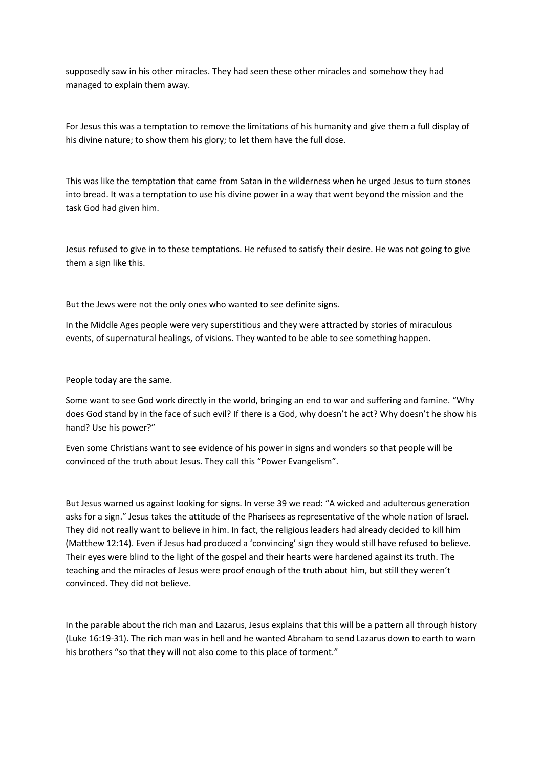supposedly saw in his other miracles. They had seen these other miracles and somehow they had managed to explain them away.

For Jesus this was a temptation to remove the limitations of his humanity and give them a full display of his divine nature; to show them his glory; to let them have the full dose.

This was like the temptation that came from Satan in the wilderness when he urged Jesus to turn stones into bread. It was a temptation to use his divine power in a way that went beyond the mission and the task God had given him.

Jesus refused to give in to these temptations. He refused to satisfy their desire. He was not going to give them a sign like this.

But the Jews were not the only ones who wanted to see definite signs.

In the Middle Ages people were very superstitious and they were attracted by stories of miraculous events, of supernatural healings, of visions. They wanted to be able to see something happen.

People today are the same.

Some want to see God work directly in the world, bringing an end to war and suffering and famine. "Why does God stand by in the face of such evil? If there is a God, why doesn't he act? Why doesn't he show his hand? Use his power?"

Even some Christians want to see evidence of his power in signs and wonders so that people will be convinced of the truth about Jesus. They call this "Power Evangelism".

But Jesus warned us against looking for signs. In verse 39 we read: "A wicked and adulterous generation asks for a sign." Jesus takes the attitude of the Pharisees as representative of the whole nation of Israel. They did not really want to believe in him. In fact, the religious leaders had already decided to kill him (Matthew 12:14). Even if Jesus had produced a 'convincing' sign they would still have refused to believe. Their eyes were blind to the light of the gospel and their hearts were hardened against its truth. The teaching and the miracles of Jesus were proof enough of the truth about him, but still they weren't convinced. They did not believe.

In the parable about the rich man and Lazarus, Jesus explains that this will be a pattern all through history (Luke 16:19-31). The rich man was in hell and he wanted Abraham to send Lazarus down to earth to warn his brothers "so that they will not also come to this place of torment."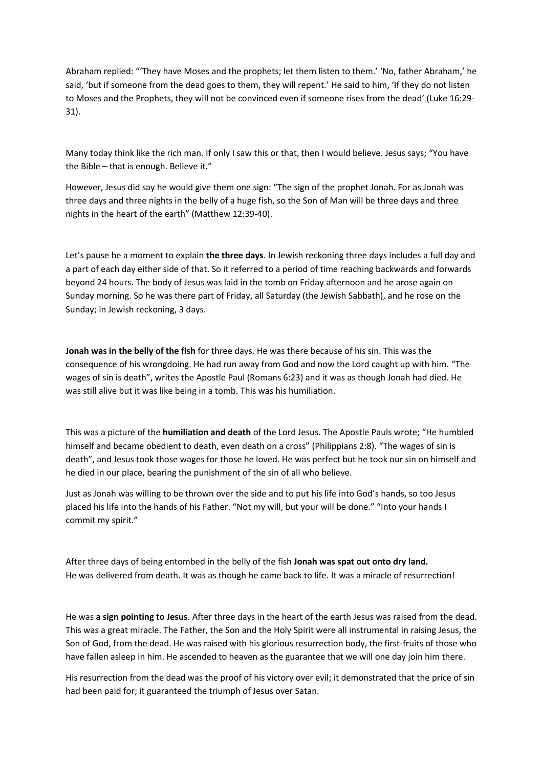Abraham replied: "'They have Moses and the prophets; let them listen to them.' 'No, father Abraham,' he said, 'but if someone from the dead goes to them, they will repent.' He said to him, 'If they do not listen to Moses and the Prophets, they will not be convinced even if someone rises from the dead' (Luke 16:29- 31).

Many today think like the rich man. If only I saw this or that, then I would believe. Jesus says; "You have the Bible – that is enough. Believe it."

However, Jesus did say he would give them one sign: "The sign of the prophet Jonah. For as Jonah was three days and three nights in the belly of a huge fish, so the Son of Man will be three days and three nights in the heart of the earth" (Matthew 12:39-40).

Let's pause he a moment to explain **the three days**. In Jewish reckoning three days includes a full day and a part of each day either side of that. So it referred to a period of time reaching backwards and forwards beyond 24 hours. The body of Jesus was laid in the tomb on Friday afternoon and he arose again on Sunday morning. So he was there part of Friday, all Saturday (the Jewish Sabbath), and he rose on the Sunday; in Jewish reckoning, 3 days.

**Jonah was in the belly of the fish** for three days. He was there because of his sin. This was the consequence of his wrongdoing. He had run away from God and now the Lord caught up with him. "The wages of sin is death", writes the Apostle Paul (Romans 6:23) and it was as though Jonah had died. He was still alive but it was like being in a tomb. This was his humiliation.

This was a picture of the **humiliation and death** of the Lord Jesus. The Apostle Pauls wrote; "He humbled himself and became obedient to death, even death on a cross" (Philippians 2:8). "The wages of sin is death", and Jesus took those wages for those he loved. He was perfect but he took our sin on himself and he died in our place, bearing the punishment of the sin of all who believe.

Just as Jonah was willing to be thrown over the side and to put his life into God's hands, so too Jesus placed his life into the hands of his Father. "Not my will, but your will be done." "Into your hands I commit my spirit."

After three days of being entombed in the belly of the fish **Jonah was spat out onto dry land.** He was delivered from death. It was as though he came back to life. It was a miracle of resurrection!

He was **a sign pointing to Jesus**. After three days in the heart of the earth Jesus was raised from the dead. This was a great miracle. The Father, the Son and the Holy Spirit were all instrumental in raising Jesus, the Son of God, from the dead. He was raised with his glorious resurrection body, the first-fruits of those who have fallen asleep in him. He ascended to heaven as the guarantee that we will one day join him there.

His resurrection from the dead was the proof of his victory over evil; it demonstrated that the price of sin had been paid for; it guaranteed the triumph of Jesus over Satan.